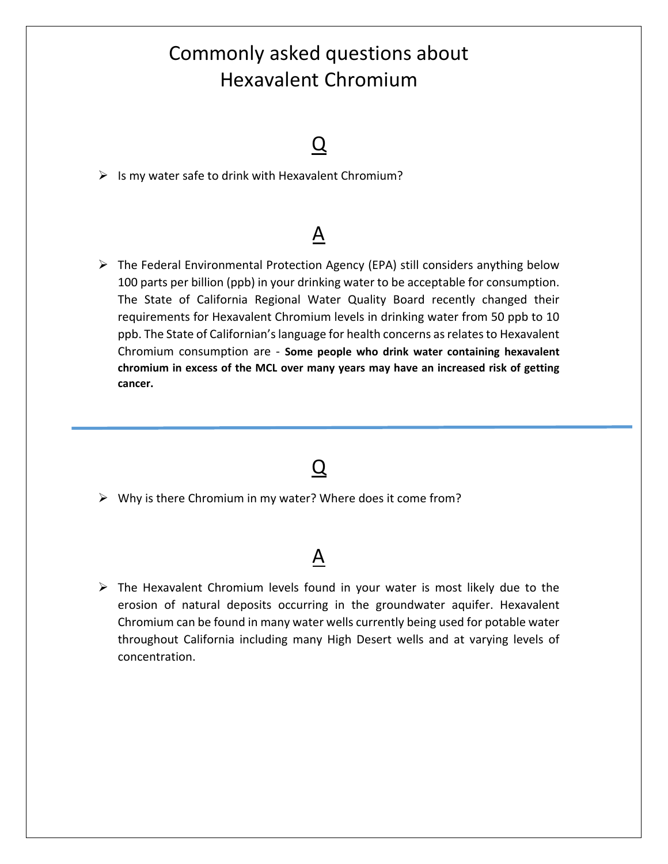## Commonly asked questions about Hexavalent Chromium

### $\overline{\Omega}$

 $\triangleright$  Is my water safe to drink with Hexavalent Chromium?

### A

 $\triangleright$  The Federal Environmental Protection Agency (EPA) still considers anything below 100 parts per billion (ppb) in your drinking water to be acceptable for consumption. The State of California Regional Water Quality Board recently changed their requirements for Hexavalent Chromium levels in drinking water from 50 ppb to 10 ppb. The State of Californian's language for health concerns as relates to Hexavalent Chromium consumption are ‐ **Some people who drink water containing hexavalent chromium in excess of the MCL over many years may have an increased risk of getting cancer.**

### Q

 $\triangleright$  Why is there Chromium in my water? Where does it come from?

#### A

 $\triangleright$  The Hexavalent Chromium levels found in your water is most likely due to the erosion of natural deposits occurring in the groundwater aquifer. Hexavalent Chromium can be found in many water wells currently being used for potable water throughout California including many High Desert wells and at varying levels of concentration.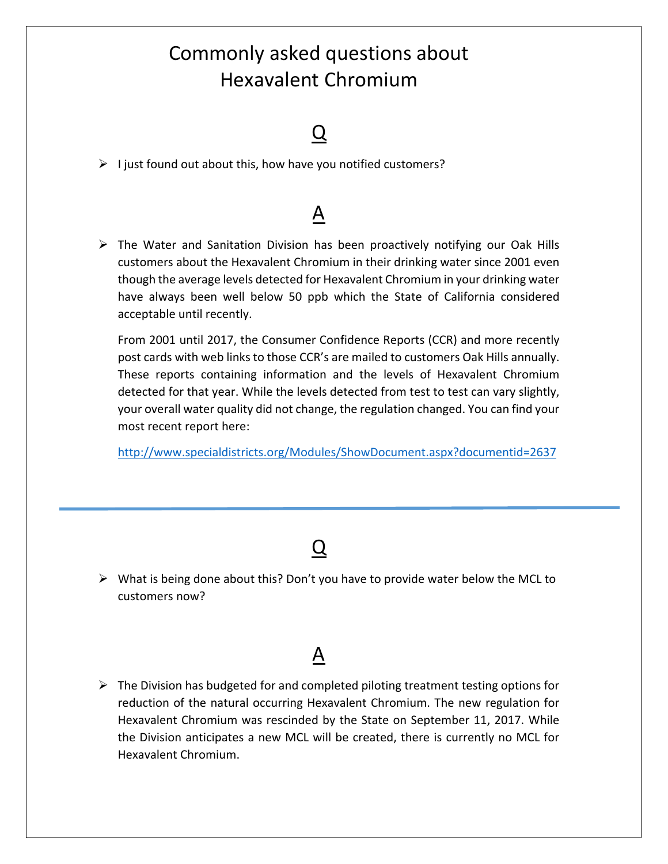# Commonly asked questions about Hexavalent Chromium

### $\bm{\mathsf{U}}$

 $\triangleright$  I just found out about this, how have you notified customers?

## $\underline{A}$

 $\triangleright$  The Water and Sanitation Division has been proactively notifying our Oak Hills customers about the Hexavalent Chromium in their drinking water since 2001 even though the average levels detected for Hexavalent Chromium in your drinking water have always been well below 50 ppb which the State of California considered acceptable until recently.

From 2001 until 2017, the Consumer Confidence Reports (CCR) and more recently post cards with web links to those CCR's are mailed to customers Oak Hills annually. These reports containing information and the levels of Hexavalent Chromium detected for that year. While the levels detected from test to test can vary slightly, your overall water quality did not change, the regulation changed. You can find your most recent report here:

http://www.specialdistricts.org/Modules/ShowDocument.aspx?documentid=2637

### Q

 $\triangleright$  What is being done about this? Don't you have to provide water below the MCL to customers now?

#### A

 $\triangleright$  The Division has budgeted for and completed piloting treatment testing options for reduction of the natural occurring Hexavalent Chromium. The new regulation for Hexavalent Chromium was rescinded by the State on September 11, 2017. While the Division anticipates a new MCL will be created, there is currently no MCL for Hexavalent Chromium.